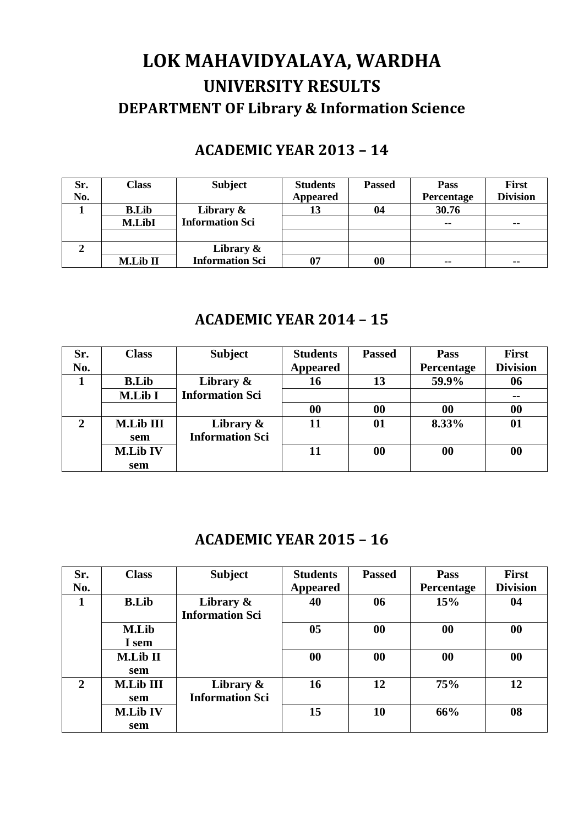# **LOK MAHAVIDYALAYA, WARDHA UNIVERSITY RESULTS DEPARTMENT OF Library & Information Science**

## **ACADEMIC YEAR 2013 – 14**

| Sr. | Class        | <b>Subject</b>         | <b>Students</b> | <b>Passed</b> | <b>Pass</b>   | <b>First</b>    |
|-----|--------------|------------------------|-----------------|---------------|---------------|-----------------|
| No. |              |                        | <b>Appeared</b> |               | Percentage    | <b>Division</b> |
|     | <b>B.Lib</b> | Library $\&$           | 13              | 04            | 30.76         |                 |
|     | M.LibI       | <b>Information Sci</b> |                 |               | $\sim$ $\sim$ | $\sim$ $\sim$   |
|     |              |                        |                 |               |               |                 |
| ∠   |              | Library $\&$           |                 |               |               |                 |
|     | M.Lib II     | <b>Information Sci</b> | 07              | 00            | $\sim$ $\sim$ | $\sim$ $\sim$   |

#### **ACADEMIC YEAR 2014 – 15**

| Sr.            | <b>Class</b>     | <b>Subject</b>         | <b>Students</b>   | <b>Passed</b> | <b>Pass</b> | <b>First</b>    |
|----------------|------------------|------------------------|-------------------|---------------|-------------|-----------------|
| No.            |                  |                        | <b>Appeared</b>   |               | Percentage  | <b>Division</b> |
|                | <b>B.Lib</b>     | Library $\&$           | 16                | 13            | 59.9%       | 06              |
|                | <b>M.Lib I</b>   | <b>Information Sci</b> |                   |               |             | $\sim$ $\sim$   |
|                |                  |                        | $\boldsymbol{00}$ | 00            | 00          | 00              |
| $\overline{2}$ | <b>M.Lib III</b> | Library $\&$           |                   | 01            | 8.33%       | 01              |
|                | sem              | <b>Information Sci</b> |                   |               |             |                 |
|                | <b>M.Lib IV</b>  |                        | 11                | $\bf{00}$     | 00          | 00              |
|                | sem              |                        |                   |               |             |                 |

#### **ACADEMIC YEAR 2015 – 16**

| Sr.            | <b>Class</b>     | <b>Subject</b>         | <b>Students</b> | <b>Passed</b>     | <b>Pass</b> | <b>First</b>    |
|----------------|------------------|------------------------|-----------------|-------------------|-------------|-----------------|
| No.            |                  |                        | <b>Appeared</b> |                   | Percentage  | <b>Division</b> |
| 1              | <b>B.Lib</b>     | Library $\&$           | 40              | 06                | 15%         | 04              |
|                |                  | <b>Information Sci</b> |                 |                   |             |                 |
|                | <b>M.Lib</b>     |                        | 05              | $\boldsymbol{00}$ | 00          | 00              |
|                | I sem            |                        |                 |                   |             |                 |
|                | <b>M.Lib II</b>  |                        | 00              | 00                | 00          | 00              |
|                | sem              |                        |                 |                   |             |                 |
| $\overline{2}$ | <b>M.Lib III</b> | Library &              | 16              | 12                | 75%         | 12              |
|                | sem              | <b>Information Sci</b> |                 |                   |             |                 |
|                | <b>M.Lib IV</b>  |                        | 15              | 10                | 66%         | 08              |
|                | sem              |                        |                 |                   |             |                 |